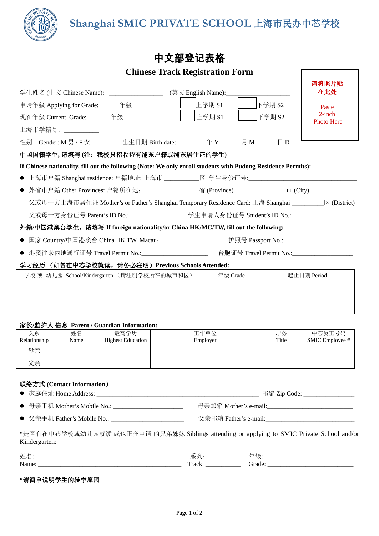

 $\sqrt{ }$ 

## 中文部登记表格

## **Chinese Track Registration Form**

|                                                                                                               |                                                                                              |                                                                                                                  |                  |                                                                                                           |        |                    | 请将照片贴                     |  |
|---------------------------------------------------------------------------------------------------------------|----------------------------------------------------------------------------------------------|------------------------------------------------------------------------------------------------------------------|------------------|-----------------------------------------------------------------------------------------------------------|--------|--------------------|---------------------------|--|
| (英文 English Name):_________________________<br>学生姓名 (中文 Chinese Name): _________________                      |                                                                                              |                                                                                                                  |                  |                                                                                                           |        | 在此处                |                           |  |
| 申请年级 Applying for Grade: _______年级                                                                            |                                                                                              |                                                                                                                  | 上学期 S1           |                                                                                                           | 下学期 S2 | Paste<br>$2$ -inch |                           |  |
| 现在年级 Current Grade: ________年级                                                                                |                                                                                              |                                                                                                                  |                  | 上学期 S1                                                                                                    |        | 下学期 S2             | Photo Here                |  |
|                                                                                                               | 上海市学籍号: ___________                                                                          |                                                                                                                  |                  |                                                                                                           |        |                    |                           |  |
|                                                                                                               | 性别 Gender: M 男 / F 女                                                                         |                                                                                                                  |                  |                                                                                                           |        |                    |                           |  |
| 中国国籍学生, 请填写(注: 我校只招收持有浦东户籍或浦东居住证的学生)                                                                          |                                                                                              |                                                                                                                  |                  |                                                                                                           |        |                    |                           |  |
| If Chinese nationality, fill out the following (Note: We only enroll students with Pudong Residence Permits): |                                                                                              |                                                                                                                  |                  |                                                                                                           |        |                    |                           |  |
| $\bullet$                                                                                                     |                                                                                              | 上海市户籍 Shanghai residence: 户籍地址: 上海市 ___________区 学生身份证号:_______________________________                          |                  |                                                                                                           |        |                    |                           |  |
| $\bullet$                                                                                                     | 外省市户籍 Other Provinces: 户籍所在地: ________________________省 (Province) _________________市 (City) |                                                                                                                  |                  |                                                                                                           |        |                    |                           |  |
|                                                                                                               |                                                                                              | 父或母一方上海市居住证 Mother's or Father's Shanghai Temporary Residence Card: 上海 Shanghai ___________________ 区 (District) |                  |                                                                                                           |        |                    |                           |  |
|                                                                                                               |                                                                                              | 父或母一方身份证号 Parent's ID No.: _____________________学生申请人身份证号 Student's ID No.:__________________                    |                  |                                                                                                           |        |                    |                           |  |
|                                                                                                               |                                                                                              | 外籍/中国港澳台学生,请填写 If foreign nationality/or China HK/MC/TW, fill out the following:                                 |                  |                                                                                                           |        |                    |                           |  |
|                                                                                                               |                                                                                              |                                                                                                                  |                  |                                                                                                           |        |                    |                           |  |
| $\bullet$                                                                                                     |                                                                                              | 港澳往来内地通行证号 Travel Permit No.:_______________________ 台胞证号 Travel Permit No.:_______________________              |                  |                                                                                                           |        |                    |                           |  |
|                                                                                                               |                                                                                              | 学习经历 (如曾在中芯学校就读, 请务必注明) Previous Schools Attended:                                                               |                  |                                                                                                           |        |                    |                           |  |
|                                                                                                               |                                                                                              | 学校 或 幼儿园 School/Kindergarten (请注明学校所在的城市和区)                                                                      |                  | 年级 Grade                                                                                                  |        |                    | 起止日期 Period               |  |
|                                                                                                               |                                                                                              |                                                                                                                  |                  |                                                                                                           |        |                    |                           |  |
|                                                                                                               |                                                                                              |                                                                                                                  |                  |                                                                                                           |        |                    |                           |  |
|                                                                                                               |                                                                                              |                                                                                                                  |                  |                                                                                                           |        |                    |                           |  |
|                                                                                                               |                                                                                              | 家长/监护人 信息 Parent / Guardian Information:                                                                         |                  |                                                                                                           |        |                    |                           |  |
| 关系<br>Relationship                                                                                            | 姓名<br>Name                                                                                   | 最高学历<br><b>Highest Education</b>                                                                                 | 工作单位<br>Employer |                                                                                                           |        | 职务<br>Title        | 中芯员工号码<br>SMIC Employee # |  |
| 母亲                                                                                                            |                                                                                              |                                                                                                                  |                  |                                                                                                           |        |                    |                           |  |
| 父亲                                                                                                            |                                                                                              |                                                                                                                  |                  |                                                                                                           |        |                    |                           |  |
|                                                                                                               |                                                                                              |                                                                                                                  |                  |                                                                                                           |        |                    |                           |  |
|                                                                                                               | 联络方式 (Contact Information)                                                                   |                                                                                                                  |                  |                                                                                                           |        |                    |                           |  |
|                                                                                                               |                                                                                              |                                                                                                                  |                  |                                                                                                           |        |                    |                           |  |
| ● 母亲手机 Mother's Mobile No.: ___________________________                                                       |                                                                                              |                                                                                                                  |                  |                                                                                                           |        |                    |                           |  |
|                                                                                                               |                                                                                              |                                                                                                                  |                  | ● 父亲手机 Father's Mobile No.: __________________________  父亲邮箱 Father's e-mail:____________________________ |        |                    |                           |  |
| Kindergarten:                                                                                                 |                                                                                              | *是否有在中芯学校或幼儿园就读 或也正在申请 的兄弟姊妹 Siblings attending or applying to SMIC Private School and/or                        |                  |                                                                                                           |        |                    |                           |  |
| 姓名:                                                                                                           |                                                                                              |                                                                                                                  |                  | 系列:<br>年级:                                                                                                |        |                    |                           |  |
|                                                                                                               | *请简单说明学生的转学原因                                                                                |                                                                                                                  |                  |                                                                                                           |        |                    |                           |  |

\_\_\_\_\_\_\_\_\_\_\_\_\_\_\_\_\_\_\_\_\_\_\_\_\_\_\_\_\_\_\_\_\_\_\_\_\_\_\_\_\_\_\_\_\_\_\_\_\_\_\_\_\_\_\_\_\_\_\_\_\_\_\_\_\_\_\_\_\_\_\_\_\_\_\_\_\_\_\_\_\_\_\_\_\_\_\_\_\_\_\_\_\_\_\_\_\_\_\_\_\_\_\_\_